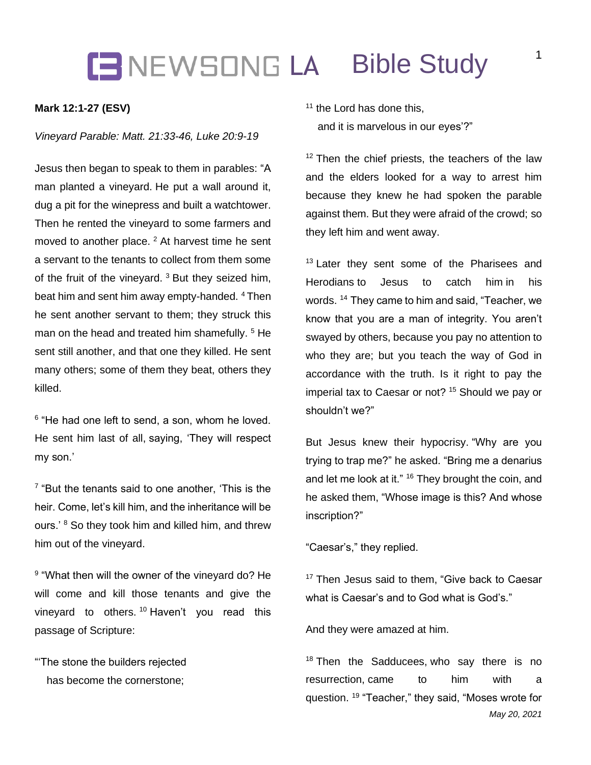### **CENEWSONG LA Bible Study**

### **Mark 12:1-27 (ESV)**

### *Vineyard Parable: Matt. 21:33-46, Luke 20:9-19*

Jesus then began to speak to them in parables: "A man planted a vineyard. He put a wall around it, dug a pit for the winepress and built a watchtower. Then he rented the vineyard to some farmers and moved to another place. <sup>2</sup> At harvest time he sent a servant to the tenants to collect from them some of the fruit of the vinevard.  $3$  But they seized him, beat him and sent him away empty-handed. <sup>4</sup> Then he sent another servant to them; they struck this man on the head and treated him shamefully.<sup>5</sup> He sent still another, and that one they killed. He sent many others; some of them they beat, others they killed.

<sup>6</sup> "He had one left to send, a son, whom he loved. He sent him last of all, saying, 'They will respect my son.'

<sup>7</sup> "But the tenants said to one another, 'This is the heir. Come, let's kill him, and the inheritance will be ours.' <sup>8</sup> So they took him and killed him, and threw him out of the vineyard.

<sup>9</sup> "What then will the owner of the vineyard do? He will come and kill those tenants and give the vineyard to others. <sup>10</sup> Haven't you read this passage of Scripture:

"'The stone the builders rejected has become the cornerstone;

<sup>11</sup> the Lord has done this, and it is marvelous in our eyes'?"

 $12$  Then the chief priests, the teachers of the law and the elders looked for a way to arrest him because they knew he had spoken the parable against them. But they were afraid of the crowd; so they left him and went away.

<sup>13</sup> Later they sent some of the Pharisees and Herodians to Jesus to catch him in his words. <sup>14</sup> They came to him and said, "Teacher, we know that you are a man of integrity. You aren't swayed by others, because you pay no attention to who they are; but you teach the way of God in accordance with the truth. Is it right to pay the imperial tax to Caesar or not? <sup>15</sup> Should we pay or shouldn't we?"

But Jesus knew their hypocrisy. "Why are you trying to trap me?" he asked. "Bring me a denarius and let me look at it." <sup>16</sup> They brought the coin, and he asked them, "Whose image is this? And whose inscription?"

"Caesar's," they replied.

<sup>17</sup> Then Jesus said to them, "Give back to Caesar what is Caesar's and to God what is God's."

And they were amazed at him.

*May 20, 2021* <sup>18</sup> Then the Sadducees, who say there is no resurrection, came to him with a question. <sup>19</sup> "Teacher," they said, "Moses wrote for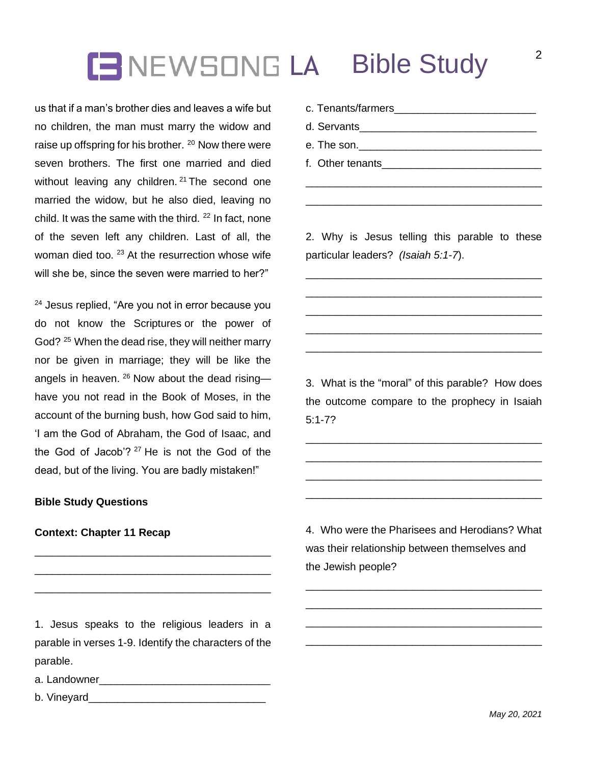# **IENEWSONG LA Bible Study**

us that if a man's brother dies and leaves a wife but no children, the man must marry the widow and raise up offspring for his brother. <sup>20</sup> Now there were seven brothers. The first one married and died without leaving any children. <sup>21</sup> The second one married the widow, but he also died, leaving no child. It was the same with the third.  $22$  In fact, none of the seven left any children. Last of all, the woman died too. <sup>23</sup> At the resurrection whose wife will she be, since the seven were married to her?"

<sup>24</sup> Jesus replied, "Are you not in error because you do not know the Scriptures or the power of God?<sup>25</sup> When the dead rise, they will neither marry nor be given in marriage; they will be like the angels in heaven. <sup>26</sup> Now about the dead rising have you not read in the Book of Moses, in the account of the burning bush, how God said to him, 'I am the God of Abraham, the God of Isaac, and the God of Jacob'?  $27$  He is not the God of the dead, but of the living. You are badly mistaken!"

### **Bible Study Questions**

#### **Context: Chapter 11 Recap**

c. Tenants/farmers d. Servants e. The son. f. Other tenants\_\_\_\_\_\_\_\_\_\_\_\_\_\_\_\_\_\_\_\_\_\_\_\_\_\_\_

\_\_\_\_\_\_\_\_\_\_\_\_\_\_\_\_\_\_\_\_\_\_\_\_\_\_\_\_\_\_\_\_\_\_\_\_\_\_\_\_ \_\_\_\_\_\_\_\_\_\_\_\_\_\_\_\_\_\_\_\_\_\_\_\_\_\_\_\_\_\_\_\_\_\_\_\_\_\_\_\_

2. Why is Jesus telling this parable to these particular leaders? *(Isaiah 5:1-7*).

\_\_\_\_\_\_\_\_\_\_\_\_\_\_\_\_\_\_\_\_\_\_\_\_\_\_\_\_\_\_\_\_\_\_\_\_\_\_\_\_ \_\_\_\_\_\_\_\_\_\_\_\_\_\_\_\_\_\_\_\_\_\_\_\_\_\_\_\_\_\_\_\_\_\_\_\_\_\_\_\_ \_\_\_\_\_\_\_\_\_\_\_\_\_\_\_\_\_\_\_\_\_\_\_\_\_\_\_\_\_\_\_\_\_\_\_\_\_\_\_\_ \_\_\_\_\_\_\_\_\_\_\_\_\_\_\_\_\_\_\_\_\_\_\_\_\_\_\_\_\_\_\_\_\_\_\_\_\_\_\_\_ \_\_\_\_\_\_\_\_\_\_\_\_\_\_\_\_\_\_\_\_\_\_\_\_\_\_\_\_\_\_\_\_\_\_\_\_\_\_\_\_

3. What is the "moral" of this parable? How does the outcome compare to the prophecy in Isaiah 5:1-7?

\_\_\_\_\_\_\_\_\_\_\_\_\_\_\_\_\_\_\_\_\_\_\_\_\_\_\_\_\_\_\_\_\_\_\_\_\_\_\_\_ \_\_\_\_\_\_\_\_\_\_\_\_\_\_\_\_\_\_\_\_\_\_\_\_\_\_\_\_\_\_\_\_\_\_\_\_\_\_\_\_ \_\_\_\_\_\_\_\_\_\_\_\_\_\_\_\_\_\_\_\_\_\_\_\_\_\_\_\_\_\_\_\_\_\_\_\_\_\_\_\_ \_\_\_\_\_\_\_\_\_\_\_\_\_\_\_\_\_\_\_\_\_\_\_\_\_\_\_\_\_\_\_\_\_\_\_\_\_\_\_\_

4. Who were the Pharisees and Herodians? What was their relationship between themselves and the Jewish people?

\_\_\_\_\_\_\_\_\_\_\_\_\_\_\_\_\_\_\_\_\_\_\_\_\_\_\_\_\_\_\_\_\_\_\_\_\_\_\_\_ \_\_\_\_\_\_\_\_\_\_\_\_\_\_\_\_\_\_\_\_\_\_\_\_\_\_\_\_\_\_\_\_\_\_\_\_\_\_\_\_ \_\_\_\_\_\_\_\_\_\_\_\_\_\_\_\_\_\_\_\_\_\_\_\_\_\_\_\_\_\_\_\_\_\_\_\_\_\_\_\_ \_\_\_\_\_\_\_\_\_\_\_\_\_\_\_\_\_\_\_\_\_\_\_\_\_\_\_\_\_\_\_\_\_\_\_\_\_\_\_\_

1. Jesus speaks to the religious leaders in a parable in verses 1-9. Identify the characters of the parable.

\_\_\_\_\_\_\_\_\_\_\_\_\_\_\_\_\_\_\_\_\_\_\_\_\_\_\_\_\_\_\_\_\_\_\_\_\_\_\_\_ \_\_\_\_\_\_\_\_\_\_\_\_\_\_\_\_\_\_\_\_\_\_\_\_\_\_\_\_\_\_\_\_\_\_\_\_\_\_\_\_ \_\_\_\_\_\_\_\_\_\_\_\_\_\_\_\_\_\_\_\_\_\_\_\_\_\_\_\_\_\_\_\_\_\_\_\_\_\_\_\_

a. Landowner

b. Vinevard

*May 20, 2021*